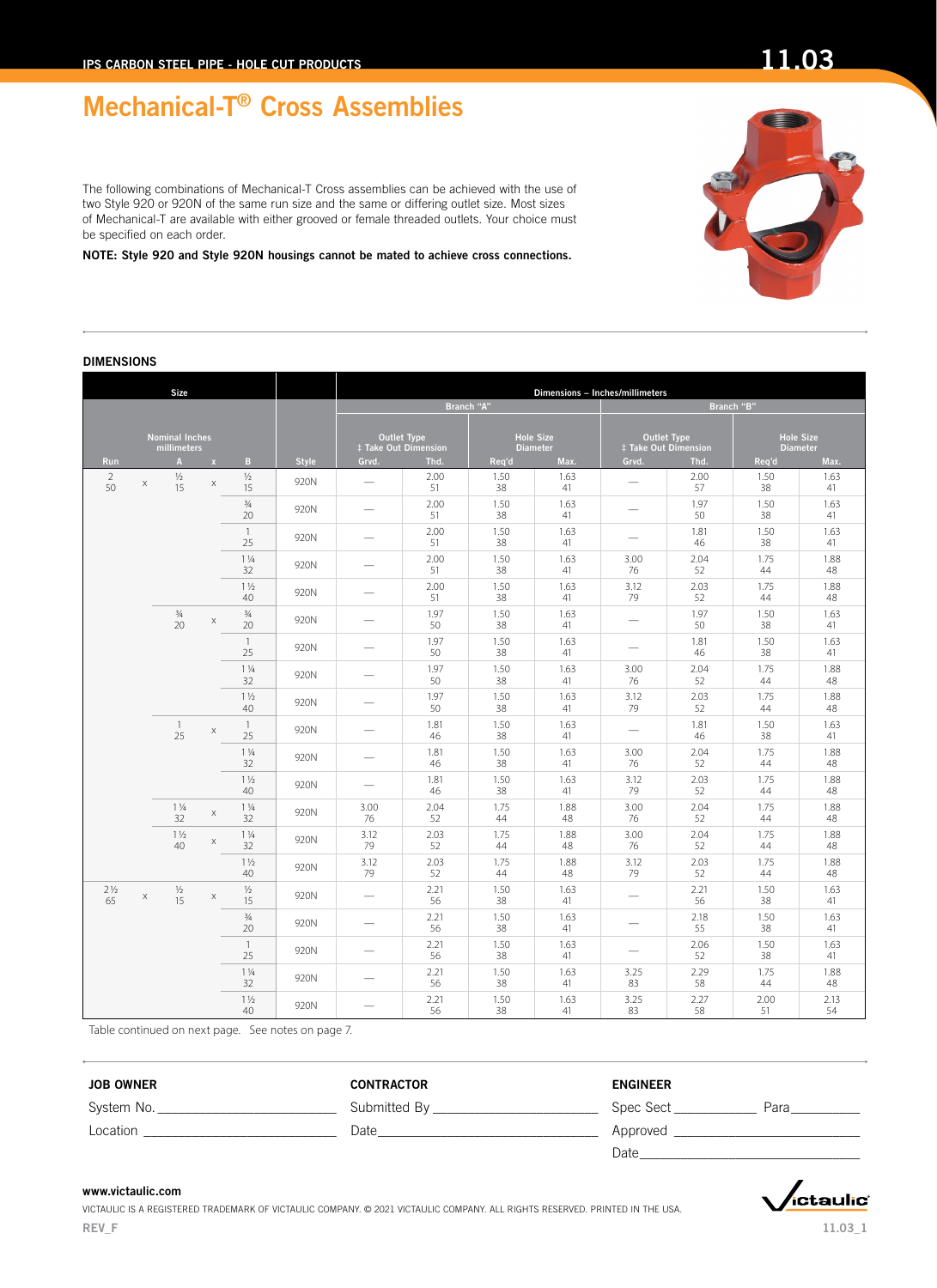œ

The following combinations of Mechanical-T Cross assemblies can be achieved with the use of two Style 920 or 920N of the same run size and the same or differing outlet size. Most sizes of Mechanical-T are available with either grooved or female threaded outlets. Your choice must be specified on each order.

NOTE: Style 920 and Style 920N housings cannot be mated to achieve cross connections.

m

### DIMENSIONS

| Size                                 |   |                      |                           |                      |              |                                            |            |            |                                     | Dimensions - Inches/millimeters |                                            |                 |                  |
|--------------------------------------|---|----------------------|---------------------------|----------------------|--------------|--------------------------------------------|------------|------------|-------------------------------------|---------------------------------|--------------------------------------------|-----------------|------------------|
|                                      |   |                      |                           |                      |              |                                            |            | Branch "A" |                                     |                                 |                                            | Branch "B"      |                  |
| <b>Nominal Inches</b><br>millimeters |   |                      |                           |                      |              | <b>Outlet Type</b><br>‡ Take Out Dimension |            |            | <b>Hole Size</b><br><b>Diameter</b> |                                 | <b>Outlet Type</b><br>‡ Take Out Dimension | <b>Diameter</b> | <b>Hole Size</b> |
| Run                                  |   | A                    | $\mathbf{x}$              | B                    | <b>Style</b> | Grvd.                                      | Thd.       | Req'd      | Max.                                | Grvd.                           | Thd.                                       | Req'd           | Max.             |
| 2<br>50                              | X | $\frac{1}{2}$<br>15  | $\mathsf X$               | $\frac{1}{2}$<br>15  | 920N         | $\overline{\phantom{0}}$                   | 2.00<br>51 | 1.50<br>38 | 1.63<br>41                          |                                 | 2.00<br>57                                 | 1.50<br>38      | 1.63<br>41       |
|                                      |   |                      |                           | $\frac{3}{4}$<br>20  | 920N         | $\overline{\phantom{0}}$                   | 2.00<br>51 | 1.50<br>38 | 1.63<br>41                          |                                 | 1.97<br>50                                 | 1.50<br>38      | 1.63<br>41       |
|                                      |   |                      |                           | $\overline{1}$<br>25 | 920N         |                                            | 2.00<br>51 | 1.50<br>38 | 1.63<br>41                          |                                 | 1.81<br>46                                 | 1.50<br>38      | 1.63<br>41       |
|                                      |   |                      |                           | $1\frac{1}{4}$<br>32 | 920N         |                                            | 2.00<br>51 | 1.50<br>38 | 1.63<br>41                          | 3.00<br>76                      | 2.04<br>52                                 | 1.75<br>44      | 1.88<br>48       |
|                                      |   |                      |                           | $1\frac{1}{2}$<br>40 | 920N         |                                            | 2.00<br>51 | 1.50<br>38 | 1.63<br>41                          | 3.12<br>79                      | 2.03<br>52                                 | 1.75<br>44      | 1.88<br>48       |
|                                      |   | $\frac{3}{4}$<br>20  | $\mathsf X$               | $\frac{3}{4}$<br>20  | 920N         |                                            | 1.97<br>50 | 1.50<br>38 | 1.63<br>41                          |                                 | 1.97<br>50                                 | 1.50<br>38      | 1.63<br>41       |
|                                      |   |                      |                           | $\overline{1}$<br>25 | 920N         |                                            | 1.97<br>50 | 1.50<br>38 | 1.63<br>41                          | $\overline{\phantom{0}}$        | 1.81<br>46                                 | 1.50<br>38      | 1.63<br>41       |
|                                      |   |                      |                           | $1\frac{1}{4}$<br>32 | 920N         |                                            | 1.97<br>50 | 1.50<br>38 | 1.63<br>41                          | 3.00<br>76                      | 2.04<br>52                                 | 1.75<br>44      | 1.88<br>48       |
|                                      |   |                      |                           | $1\frac{1}{2}$<br>40 | 920N         |                                            | 1.97<br>50 | 1.50<br>38 | 1.63<br>41                          | 3.12<br>79                      | 2.03<br>52                                 | 1.75<br>44      | 1.88<br>48       |
|                                      |   | 1<br>25              | $\mathsf X$               | $\overline{1}$<br>25 | 920N         | $\overline{\phantom{0}}$                   | 1.81<br>46 | 1.50<br>38 | 1.63<br>41                          |                                 | 1.81<br>46                                 | 1.50<br>38      | 1.63<br>41       |
|                                      |   |                      |                           | $1\frac{1}{4}$<br>32 | 920N         |                                            | 1.81<br>46 | 1.50<br>38 | 1.63<br>41                          | 3.00<br>76                      | 2.04<br>52                                 | 1.75<br>44      | 1.88<br>48       |
|                                      |   |                      |                           | $1\frac{1}{2}$<br>40 | 920N         | $\overline{\phantom{0}}$                   | 1.81<br>46 | 1.50<br>38 | 1.63<br>41                          | 3.12<br>79                      | 2.03<br>52                                 | 1.75<br>44      | 1.88<br>48       |
|                                      |   | $1\frac{1}{4}$<br>32 | $\mathsf X$               | $1\frac{1}{4}$<br>32 | 920N         | 3.00<br>76                                 | 2.04<br>52 | 1.75<br>44 | 1.88<br>48                          | 3.00<br>76                      | 2.04<br>52                                 | 1.75<br>44      | 1.88<br>48       |
|                                      |   | $1\frac{1}{2}$<br>40 | $\boldsymbol{\mathsf{X}}$ | $1\frac{1}{4}$<br>32 | 920N         | 3.12<br>79                                 | 2.03<br>52 | 1.75<br>44 | 1.88<br>48                          | 3.00<br>76                      | 2.04<br>52                                 | 1.75<br>44      | 1.88<br>48       |
|                                      |   |                      |                           | $1\frac{1}{2}$<br>40 | 920N         | 3.12<br>79                                 | 2.03<br>52 | 1.75<br>44 | 1.88<br>48                          | 3.12<br>79                      | 2.03<br>52                                 | 1.75<br>44      | 1.88<br>48       |
| $2\frac{1}{2}$<br>65                 | X | $\frac{1}{2}$<br>15  | X                         | $1/2$<br>15          | 920N         | $\overline{\phantom{0}}$                   | 2.21<br>56 | 1.50<br>38 | 1.63<br>41                          |                                 | 2.21<br>56                                 | 1.50<br>38      | 1.63<br>41       |
|                                      |   |                      |                           | $\frac{3}{4}$<br>20  | 920N         |                                            | 2.21<br>56 | 1.50<br>38 | 1.63<br>41                          |                                 | 2.18<br>55                                 | 1.50<br>38      | 1.63<br>41       |
|                                      |   |                      |                           | $\mathbf{1}$<br>25   | 920N         |                                            | 2.21<br>56 | 1.50<br>38 | 1.63<br>41                          | $\overline{\phantom{0}}$        | 2.06<br>52                                 | 1.50<br>38      | 1.63<br>41       |
|                                      |   |                      |                           | $1\frac{1}{4}$<br>32 | 920N         |                                            | 2.21<br>56 | 1.50<br>38 | 1.63<br>41                          | 3.25<br>83                      | 2.29<br>58                                 | 1.75<br>44      | 1.88<br>48       |
|                                      |   |                      |                           | $1\frac{1}{2}$<br>40 | 920N         | $\overline{\phantom{0}}$                   | 2.21<br>56 | 1.50<br>38 | 1.63<br>41                          | 3.25<br>83                      | 2.27<br>58                                 | 2.00<br>51      | 2.13<br>54       |

Table continued on next page. See notes on page 7.

JOB OWNER CONTRACTOR ENGINEER System No. \_\_\_\_\_\_\_\_\_\_\_\_\_\_\_\_\_\_\_\_\_\_\_\_\_\_ Submitted By \_\_\_\_\_\_\_\_\_\_\_\_\_\_\_\_\_\_\_\_\_\_\_\_ Spec Sect \_\_\_\_\_\_\_\_\_\_\_\_ Para\_\_\_\_\_\_\_\_\_\_ Location \_\_\_\_\_\_\_\_\_\_\_\_\_\_\_\_\_\_\_\_\_\_\_\_\_\_\_\_ Date\_\_\_\_\_\_\_\_\_\_\_\_\_\_\_\_\_\_\_\_\_\_\_\_\_\_\_\_\_\_\_\_ Approved \_\_\_\_\_\_\_\_\_\_\_\_\_\_\_\_\_\_\_\_\_\_\_\_\_\_\_ Date

#### www.victaulic.com









11.03\_1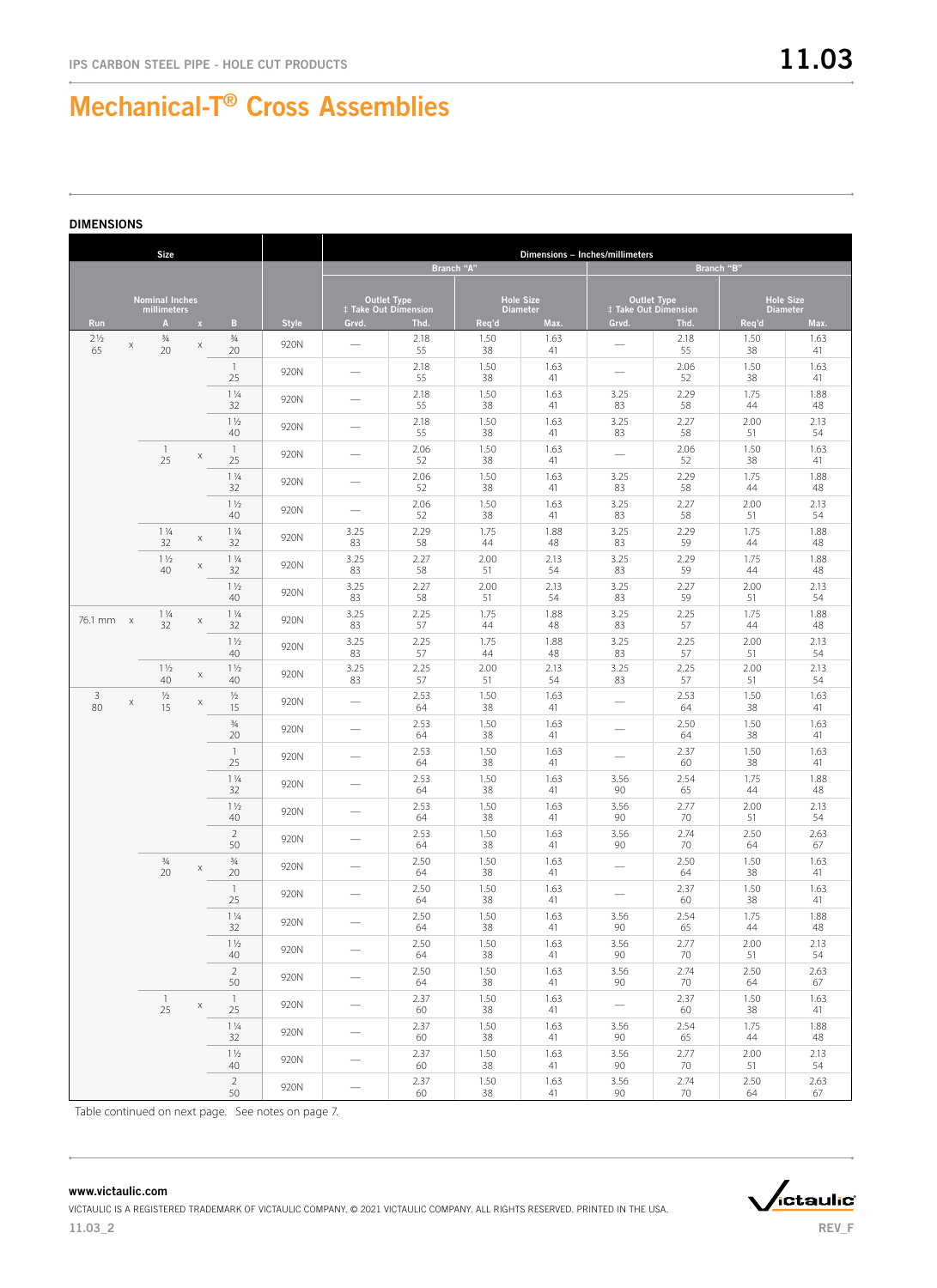|                      |   | <b>Size</b>                          |                           |                      |              |                          |                                            |            | Dimensions - Inches/millimeters     |                          |                                            |                                     |            |  |
|----------------------|---|--------------------------------------|---------------------------|----------------------|--------------|--------------------------|--------------------------------------------|------------|-------------------------------------|--------------------------|--------------------------------------------|-------------------------------------|------------|--|
|                      |   |                                      |                           |                      |              |                          |                                            | Branch "A" | Branch "B"                          |                          |                                            |                                     |            |  |
|                      |   | <b>Nominal Inches</b><br>millimeters |                           |                      |              |                          | <b>Outlet Type</b><br># Take Out Dimension |            | <b>Hole Size</b><br><b>Diameter</b> |                          | <b>Outlet Type</b><br>‡ Take Out Dimension | <b>Hole Size</b><br><b>Diameter</b> |            |  |
| <b>Run</b>           |   | $\mathbf{A}$                         | $\mathbf{x}$              | B                    | <b>Style</b> | Grvd.                    | Thd.                                       | Req'd      | Max.                                | Grvd.                    | Thd.                                       | Req'd                               | Max.       |  |
| $2\frac{1}{2}$<br>65 | X | $\frac{3}{4}$<br>20                  | $\mathsf X$               | $\frac{3}{4}$<br>20  | 920N         | $\overline{\phantom{0}}$ | 2.18<br>55                                 | 1.50<br>38 | 1.63<br>41                          |                          | 2.18<br>55                                 | 1.50<br>38                          | 1.63<br>41 |  |
|                      |   |                                      |                           | $\mathbf{1}$<br>25   | 920N         |                          | 2.18<br>55                                 | 1.50<br>38 | 1.63<br>41                          |                          | 2.06<br>52                                 | 1.50<br>38                          | 1.63<br>41 |  |
|                      |   |                                      |                           | $1\frac{1}{4}$<br>32 | 920N         |                          | 2.18<br>55                                 | 1.50<br>38 | 1.63<br>41                          | 3.25<br>83               | 2.29<br>58                                 | 1.75<br>44                          | 1.88<br>48 |  |
|                      |   |                                      |                           | $1\frac{1}{2}$<br>40 | 920N         |                          | 2.18<br>55                                 | 1.50<br>38 | 1.63<br>41                          | 3.25<br>83               | 2.27<br>58                                 | 2.00<br>51                          | 2.13<br>54 |  |
|                      |   | $\mathbf{1}$<br>25                   | $\boldsymbol{\mathsf{X}}$ | $\overline{1}$<br>25 | 920N         |                          | 2.06<br>52                                 | 1.50<br>38 | 1.63<br>41                          |                          | 2.06<br>52                                 | 1.50<br>38                          | 1.63<br>41 |  |
|                      |   |                                      |                           | $1\frac{1}{4}$<br>32 | 920N         |                          | 2.06<br>52                                 | 1.50<br>38 | 1.63<br>41                          | 3.25<br>83               | 2.29<br>58                                 | 1.75<br>44                          | 1.88<br>48 |  |
|                      |   |                                      |                           | $1\frac{1}{2}$<br>40 | 920N         |                          | 2.06<br>52                                 | 1.50<br>38 | 1.63<br>41                          | 3.25<br>83               | 2.27<br>58                                 | 2.00<br>51                          | 2.13<br>54 |  |
|                      |   | $1\frac{1}{4}$<br>32                 | $\mathsf X$               | $1\frac{1}{4}$<br>32 | 920N         | 3.25<br>83               | 2.29<br>58                                 | 1.75<br>44 | 1.88<br>48                          | 3.25<br>83               | 2.29<br>59                                 | 1.75<br>44                          | 1.88<br>48 |  |
|                      |   | $1\frac{1}{2}$<br>40                 | $\mathsf X$               | $1\frac{1}{4}$<br>32 | 920N         | 3.25<br>83               | 2.27<br>58                                 | 2.00<br>51 | 2.13<br>54                          | 3.25<br>83               | 2.29<br>59                                 | 1.75<br>44                          | 1.88<br>48 |  |
|                      |   |                                      |                           | $1\frac{1}{2}$<br>40 | 920N         | 3.25<br>83               | 2.27<br>58                                 | 2.00<br>51 | 2.13<br>54                          | 3.25<br>83               | 2.27<br>59                                 | 2.00<br>51                          | 2.13<br>54 |  |
| 76.1 mm x            |   | $1\frac{1}{4}$<br>32                 | $\boldsymbol{\mathsf{X}}$ | $1\frac{1}{4}$<br>32 | 920N         | 3.25<br>83               | 2.25<br>57                                 | 1.75<br>44 | 1.88<br>48                          | 3.25<br>83               | 2.25<br>57                                 | 1.75<br>44                          | 1.88<br>48 |  |
|                      |   |                                      |                           | $1\frac{1}{2}$<br>40 | 920N         | 3.25<br>83               | 2.25<br>57                                 | 1.75<br>44 | 1.88<br>48                          | 3.25<br>83               | 2.25<br>57                                 | 2.00<br>51                          | 2.13<br>54 |  |
|                      |   | $1\frac{1}{2}$<br>40                 | X                         | $1\frac{1}{2}$<br>40 | 920N         | 3.25<br>83               | 2.25<br>57                                 | 2.00<br>51 | 2.13<br>54                          | 3.25<br>83               | 2.25<br>57                                 | 2.00<br>51                          | 2.13<br>54 |  |
| 3<br>80              | X | $\frac{1}{2}$<br>15                  | X                         | $\frac{1}{2}$<br>15  | 920N         | $\overline{\phantom{0}}$ | 2.53<br>64                                 | 1.50<br>38 | 1.63<br>41                          |                          | 2.53<br>64                                 | 1.50<br>38                          | 1.63<br>41 |  |
|                      |   |                                      |                           | $\frac{3}{4}$<br>20  | 920N         |                          | 2.53<br>64                                 | 1.50<br>38 | 1.63<br>41                          |                          | 2.50<br>64                                 | 1.50<br>38                          | 1.63<br>41 |  |
|                      |   |                                      |                           | $\overline{1}$<br>25 | 920N         |                          | 2.53<br>64                                 | 1.50<br>38 | 1.63<br>41                          | $\overline{\phantom{0}}$ | 2.37<br>60                                 | 1.50<br>38                          | 1.63<br>41 |  |
|                      |   |                                      |                           | $1\frac{1}{4}$<br>32 | 920N         |                          | 2.53<br>64                                 | 1.50<br>38 | 1.63<br>41                          | 3.56<br>90               | 2.54<br>65                                 | 1.75<br>44                          | 1.88<br>48 |  |
|                      |   |                                      |                           | $1\frac{1}{2}$<br>40 | 920N         |                          | 2.53<br>64                                 | 1.50<br>38 | 1.63<br>41                          | 3.56<br>90               | 2.77<br>70                                 | 2.00<br>51                          | 2.13<br>54 |  |
|                      |   |                                      |                           | $\overline{2}$<br>50 | 920N         |                          | 2.53<br>64                                 | 1.50<br>38 | 1.63<br>41                          | 3.56<br>90               | 2.74<br>70                                 | 2.50<br>64                          | 2.63<br>67 |  |
|                      |   | $\frac{3}{4}$<br>20                  | Χ                         | $\frac{3}{4}$<br>20  | 920N         |                          | 2.50<br>64                                 | 1.50<br>38 | 1.63<br>41                          | $\overline{\phantom{0}}$ | 2.50<br>64                                 | 1.50<br>38                          | 1.63<br>41 |  |
|                      |   |                                      |                           | $\overline{1}$<br>25 | 920N         |                          | 2.50<br>64                                 | 1.50<br>38 | 1.63<br>41                          |                          | 2.37<br>60                                 | 1.50<br>38                          | 1.63<br>41 |  |
|                      |   |                                      |                           | $1\,\%$<br>32        | 920N         |                          | 2.50<br>64                                 | 1.50<br>38 | 1.63<br>41                          | 3.56<br>90               | 2.54<br>65                                 | 1.75<br>44                          | 1.88<br>48 |  |
|                      |   |                                      |                           | $1\frac{1}{2}$<br>40 | 920N         | $\overline{\phantom{0}}$ | 2.50<br>64                                 | 1.50<br>38 | 1.63<br>41                          | 3.56<br>90               | 2.77<br>70                                 | 2.00<br>51                          | 2.13<br>54 |  |
|                      |   |                                      |                           | $\overline{2}$<br>50 | 920N         | $\qquad \qquad -$        | 2.50<br>64                                 | 1.50<br>38 | 1.63<br>41                          | 3.56<br>90               | 2.74<br>70                                 | 2.50<br>64                          | 2.63<br>67 |  |
|                      |   | $\overline{1}$<br>25                 | $\mathsf X$               | $\overline{1}$<br>25 | 920N         | $\overline{\phantom{0}}$ | 2.37<br>60                                 | 1.50<br>38 | 1.63<br>41                          | $\overline{\phantom{0}}$ | 2.37<br>60                                 | 1.50<br>$38\,$                      | 1.63<br>41 |  |
|                      |   |                                      |                           | $1\frac{1}{4}$<br>32 | 920N         | $\qquad \qquad -$        | 2.37<br>60                                 | 1.50<br>38 | 1.63<br>41                          | 3.56<br>90               | 2.54<br>65                                 | 1.75<br>44                          | 1.88<br>48 |  |
|                      |   |                                      |                           | $1\frac{1}{2}$<br>40 | 920N         | $\qquad \qquad -$        | 2.37<br>60                                 | 1.50<br>38 | 1.63<br>41                          | 3.56<br>90               | 2.77<br>70                                 | 2.00<br>51                          | 2.13<br>54 |  |
|                      |   |                                      |                           | $\overline{2}$<br>50 | 920N         |                          | 2.37<br>60                                 | 1.50<br>38 | 1.63<br>41                          | 3.56<br>90               | 2.74<br>70                                 | 2.50<br>64                          | 2.63<br>67 |  |

Table continued on next page. See notes on page 7.

#### www.victaulic.com



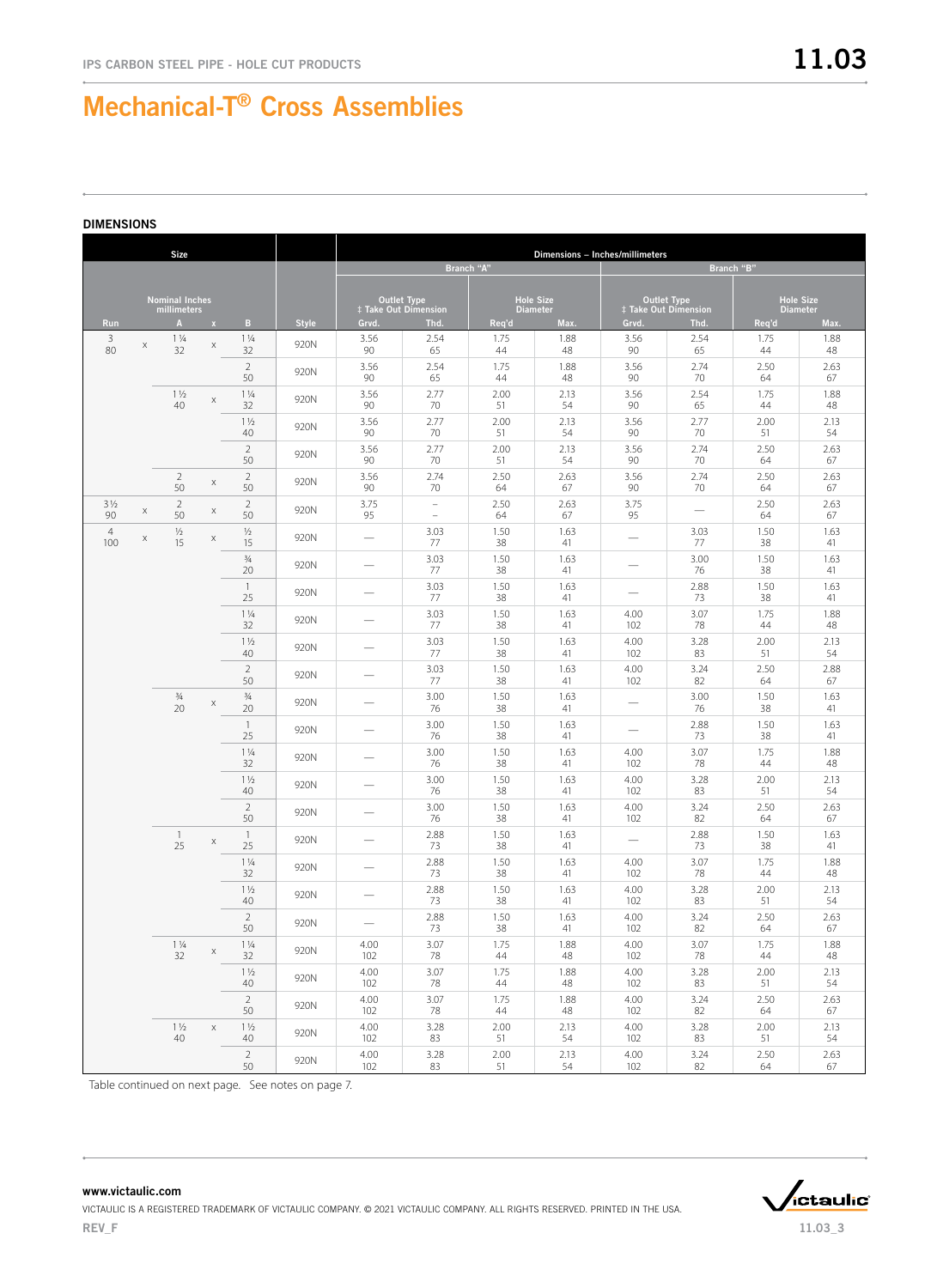#### DIMENSIONS

| <b>Size</b>           |   |                             |              |                      |              |                                            |                                            |            |                         | Dimensions - Inches/millimeters                   |                          |                                     |            |  |  |
|-----------------------|---|-----------------------------|--------------|----------------------|--------------|--------------------------------------------|--------------------------------------------|------------|-------------------------|---------------------------------------------------|--------------------------|-------------------------------------|------------|--|--|
|                       |   |                             |              |                      |              |                                            |                                            | Branch "A" |                         | Branch "B"                                        |                          |                                     |            |  |  |
|                       |   | <b>Nominal Inches</b>       |              |                      |              | <b>Outlet Type</b><br>‡ Take Out Dimension |                                            |            | <b>Hole Size</b>        | <b>Outlet Type</b><br><b>‡ Take Out Dimension</b> |                          | <b>Hole Size</b><br><b>Diameter</b> |            |  |  |
| Run                   |   | millimeters<br>$\mathbf{A}$ | $\mathbf{x}$ | $\mathbf{B}$         | <b>Style</b> | Grvd.                                      | Thd.                                       | Req'd      | <b>Diameter</b><br>Max. | Grvd.                                             | Thd.                     | Req'd                               | Max.       |  |  |
| 3<br>80               | X | $1\frac{1}{4}$<br>32        | X            | $1\frac{1}{4}$<br>32 | 920N         | 3.56<br>90                                 | 2.54<br>65                                 | 1.75<br>44 | 1.88<br>48              | 3.56<br>90                                        | 2.54<br>65               | 1.75<br>44                          | 1.88<br>48 |  |  |
|                       |   |                             |              | $\sqrt{2}$           | 920N         | 3.56                                       | 2.54                                       | 1.75       | 1.88                    | 3.56                                              | 2.74                     | 2.50                                | 2.63       |  |  |
|                       |   |                             |              | 50                   |              | 90                                         | 65                                         | 44         | 48                      | 90                                                | 70                       | 64                                  | 67         |  |  |
|                       |   | $1\frac{1}{2}$<br>40        | X            | $1\frac{1}{4}$<br>32 | 920N         | 3.56<br>90                                 | 2.77<br>70                                 | 2.00<br>51 | 2.13<br>54              | 3.56<br>90                                        | 2.54<br>65               | 1.75<br>44                          | 1.88<br>48 |  |  |
|                       |   |                             |              | $1\frac{1}{2}$<br>40 | 920N         | 3.56<br>90                                 | 2.77<br>70                                 | 2.00<br>51 | 2.13<br>54              | 3.56<br>90                                        | 2.77<br>70               | 2.00<br>51                          | 2.13<br>54 |  |  |
|                       |   |                             |              | $\sqrt{2}$<br>50     | 920N         | 3.56<br>90                                 | 2.77<br>70                                 | 2.00<br>51 | 2.13<br>54              | 3.56<br>90                                        | 2.74<br>70               | 2.50<br>64                          | 2.63<br>67 |  |  |
|                       |   | $\overline{2}$<br>50        | X            | $\sqrt{2}$<br>50     | 920N         | 3.56<br>90                                 | 2.74<br>70                                 | 2.50<br>64 | 2.63<br>67              | 3.56<br>90                                        | 2.74<br>70               | 2.50<br>64                          | 2.63<br>67 |  |  |
| $3\frac{1}{2}$<br>90  | X | $\overline{2}$<br>50        | X            | $\overline{2}$<br>50 | 920N         | 3.75<br>95                                 | $\overline{\phantom{a}}$<br>$\overline{a}$ | 2.50<br>64 | 2.63<br>67              | 3.75<br>95                                        | $\overline{\phantom{0}}$ | 2.50<br>64                          | 2.63<br>67 |  |  |
| $\overline{4}$<br>100 | X | $\frac{1}{2}$<br>15         | X            | $\frac{1}{2}$<br>15  | 920N         | $\overline{\phantom{0}}$                   | 3.03<br>77                                 | 1.50<br>38 | 1.63<br>41              | $\overline{\phantom{0}}$                          | 3.03<br>77               | 1.50<br>38                          | 1.63<br>41 |  |  |
|                       |   |                             |              | $\frac{3}{4}$<br>20  | 920N         | $\overline{\phantom{0}}$                   | 3.03<br>77                                 | 1.50<br>38 | 1.63<br>41              | $\overline{\phantom{0}}$                          | 3.00<br>76               | 1.50<br>38                          | 1.63<br>41 |  |  |
|                       |   |                             |              | $\mathbf{1}$<br>25   | 920N         | $\overline{\phantom{0}}$                   | 3.03<br>77                                 | 1.50<br>38 | 1.63<br>41              | $\overline{\phantom{0}}$                          | 2.88<br>73               | 1.50<br>38                          | 1.63<br>41 |  |  |
|                       |   |                             |              | $1\frac{1}{4}$<br>32 | 920N         | $\overline{\phantom{0}}$                   | 3.03<br>77                                 | 1.50<br>38 | 1.63<br>41              | 4.00<br>102                                       | 3.07<br>78               | 1.75<br>44                          | 1.88<br>48 |  |  |
|                       |   |                             |              | $1\frac{1}{2}$<br>40 | 920N         | $\overline{\phantom{0}}$                   | 3.03<br>77                                 | 1.50<br>38 | 1.63<br>41              | 4.00<br>102                                       | 3.28<br>83               | 2.00<br>51                          | 2.13<br>54 |  |  |
|                       |   |                             |              | $\sqrt{2}$<br>50     | 920N         | $\overline{\phantom{0}}$                   | 3.03<br>77                                 | 1.50<br>38 | 1.63<br>41              | 4.00<br>102                                       | 3.24<br>82               | 2.50<br>64                          | 2.88<br>67 |  |  |
|                       |   | $\frac{3}{4}$<br>20         | X            | $\frac{3}{4}$<br>20  | 920N         | $\overline{\phantom{0}}$                   | 3.00<br>76                                 | 1.50<br>38 | 1.63<br>41              | $\overline{\phantom{0}}$                          | 3.00<br>76               | 1.50<br>38                          | 1.63<br>41 |  |  |
|                       |   |                             |              | $\overline{1}$<br>25 | 920N         | $\overline{\phantom{0}}$                   | 3.00<br>76                                 | 1.50<br>38 | 1.63<br>41              | $\overline{\phantom{0}}$                          | 2.88<br>73               | 1.50<br>38                          | 1.63<br>41 |  |  |
|                       |   |                             |              | $1\frac{1}{4}$<br>32 | 920N         | $\overline{\phantom{0}}$                   | 3.00<br>76                                 | 1.50<br>38 | 1.63<br>41              | 4.00<br>102                                       | 3.07<br>78               | 1.75<br>44                          | 1.88<br>48 |  |  |
|                       |   |                             |              | $1\frac{1}{2}$<br>40 | 920N         | $\overline{\phantom{0}}$                   | 3.00<br>76                                 | 1.50<br>38 | 1.63<br>41              | 4.00<br>102                                       | 3.28<br>83               | 2.00<br>51                          | 2.13<br>54 |  |  |
|                       |   |                             |              | $\sqrt{2}$<br>50     | 920N         | $\overline{\phantom{0}}$                   | 3.00<br>76                                 | 1.50<br>38 | 1.63<br>41              | 4.00<br>102                                       | 3.24<br>82               | 2.50<br>64                          | 2.63<br>67 |  |  |
|                       |   | $\mathbf{1}$<br>25          | Χ            | $\overline{1}$<br>25 | 920N         |                                            | 2.88<br>73                                 | 1.50<br>38 | 1.63<br>41              |                                                   | 2.88<br>73               | 1.50<br>38                          | 1.63<br>41 |  |  |
|                       |   |                             |              | $1\frac{1}{4}$<br>32 | 920N         |                                            | 2.88<br>73                                 | 1.50<br>38 | 1.63<br>41              | 4.00<br>102                                       | 3.07<br>78               | 1.75<br>44                          | 1.88<br>48 |  |  |
|                       |   |                             |              | $1\frac{1}{2}$<br>40 | 920N         |                                            | 2.88<br>73                                 | 1.50<br>38 | 1.63<br>41              | 4.00<br>102                                       | 3.28<br>83               | 2.00<br>51                          | 2.13<br>54 |  |  |
|                       |   |                             |              | $\overline{2}$<br>50 | 920N         | $\qquad \qquad -$                          | 2.88<br>73                                 | 1.50<br>38 | 1.63<br>41              | 4.00<br>102                                       | 3.24<br>82               | 2.50<br>64                          | 2.63<br>67 |  |  |
|                       |   | $1\frac{1}{4}$<br>32        | $\mathsf X$  | $1\frac{1}{4}$<br>32 | 920N         | 4.00<br>102                                | 3.07<br>78                                 | 1.75<br>44 | 1.88<br>48              | 4.00<br>102                                       | 3.07<br>78               | 1.75<br>44                          | 1.88<br>48 |  |  |
|                       |   |                             |              | $1\frac{1}{2}$<br>40 | 920N         | 4.00<br>102                                | 3.07<br>78                                 | 1.75<br>44 | 1.88<br>48              | 4.00<br>102                                       | 3.28<br>83               | 2.00<br>51                          | 2.13<br>54 |  |  |
|                       |   |                             |              | $\overline{2}$<br>50 | 920N         | 4.00<br>102                                | 3.07<br>78                                 | 1.75<br>44 | 1.88<br>48              | 4.00<br>102                                       | 3.24<br>82               | 2.50<br>64                          | 2.63<br>67 |  |  |
|                       |   | $1\frac{1}{2}$<br>40        | $\mathsf X$  | $1\frac{1}{2}$<br>40 | 920N         | 4.00<br>102                                | 3.28<br>83                                 | 2.00<br>51 | 2.13<br>54              | 4.00<br>102                                       | 3.28<br>83               | 2.00<br>51                          | 2.13<br>54 |  |  |
|                       |   |                             |              | $\overline{2}$<br>50 | 920N         | 4.00<br>102                                | 3.28<br>83                                 | 2.00<br>51 | 2.13<br>54              | 4.00<br>102                                       | 3.24<br>82               | 2.50<br>64                          | 2.63<br>67 |  |  |

Table continued on next page. See notes on page 7.



www.victaulic.com VICTAULIC IS A REGISTERED TRADEMARK OF VICTAULIC COMPANY. © 2021 VICTAULIC COMPANY. ALL RIGHTS RESERVED. PRINTED IN THE USA. REV\_F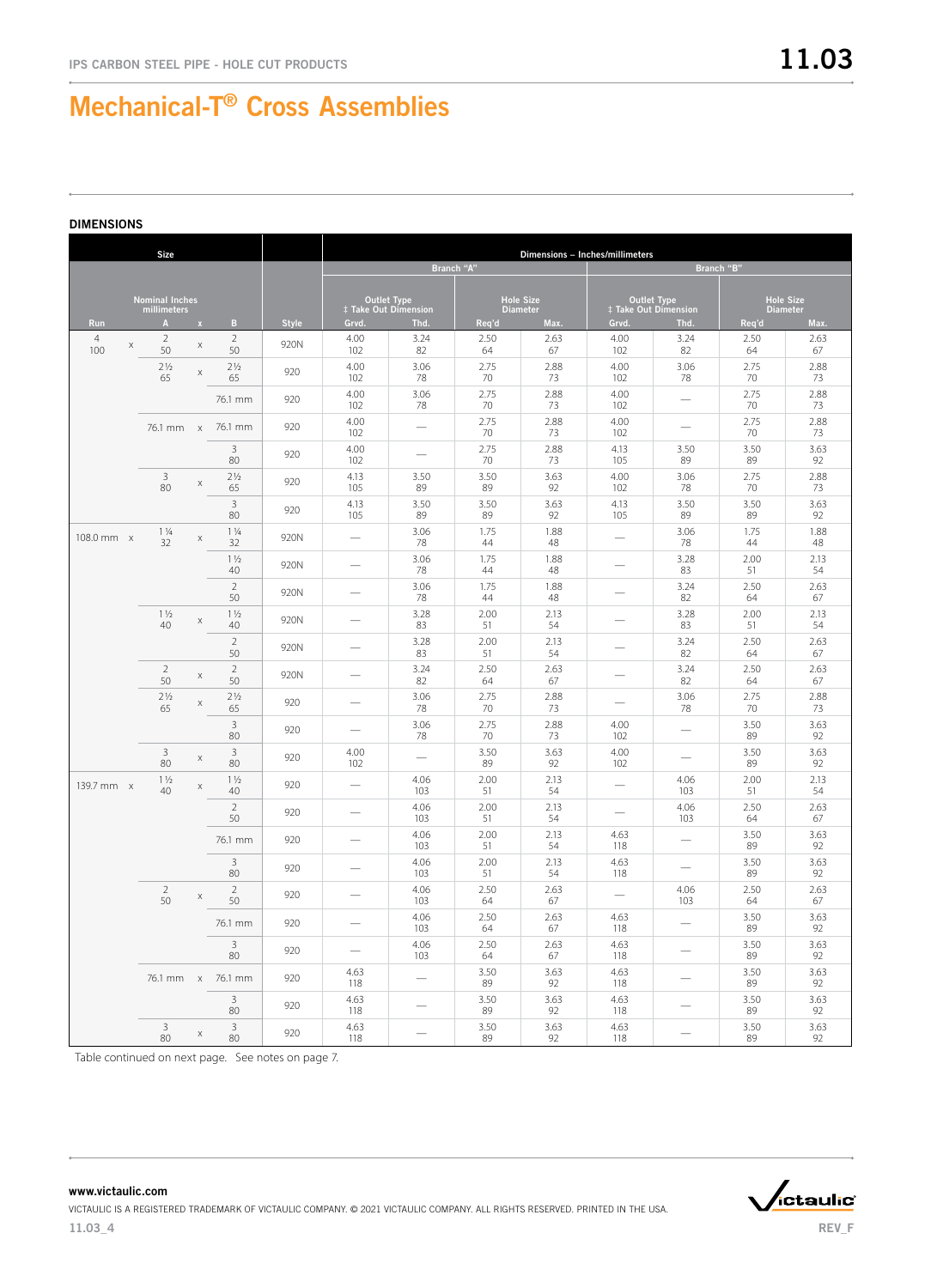|                            | <b>Size</b>                          |                |                         |              | Dimensions - Inches/millimeters |                                                   |            |                                     |                          |                                                   |                 |                  |  |
|----------------------------|--------------------------------------|----------------|-------------------------|--------------|---------------------------------|---------------------------------------------------|------------|-------------------------------------|--------------------------|---------------------------------------------------|-----------------|------------------|--|
|                            |                                      |                |                         |              |                                 |                                                   | Branch "A" |                                     |                          |                                                   | Branch "B"      |                  |  |
|                            | <b>Nominal Inches</b><br>millimeters |                |                         |              |                                 | <b>Outlet Type</b><br><b>‡ Take Out Dimension</b> |            | <b>Hole Size</b><br><b>Diameter</b> |                          | <b>Outlet Type</b><br><b>‡ Take Out Dimension</b> | <b>Diameter</b> | <b>Hole Size</b> |  |
| Run                        | A                                    | $\mathbf x$    | B.                      | <b>Style</b> | Grvd.                           | Thd.                                              | Req'd      | Max.                                | Grvd.                    | Thd.                                              | Req'd           | Max.             |  |
| $\overline{4}$<br>X<br>100 | $\overline{2}$<br>50                 | X              | $\overline{2}$<br>50    | 920N         | 4.00<br>102                     | 3.24<br>82                                        | 2.50<br>64 | 2.63<br>67                          | 4.00<br>102              | 3.24<br>82                                        | 2.50<br>64      | 2.63<br>67       |  |
|                            | $2\frac{1}{2}$<br>65                 | X              | 2 <sup>1</sup> /2<br>65 | 920          | 4.00<br>102                     | 3.06<br>78                                        | 2.75<br>70 | 2.88<br>73                          | 4.00<br>102              | 3.06<br>78                                        | 2.75<br>70      | 2.88<br>73       |  |
|                            |                                      |                | 76.1 mm                 | 920          | 4.00<br>102                     | 3.06<br>78                                        | 2.75<br>70 | 2.88<br>73                          | 4.00<br>102              |                                                   | 2.75<br>70      | 2.88<br>73       |  |
|                            |                                      |                | 76.1 mm x 76.1 mm       | 920          | 4.00<br>102                     |                                                   | 2.75<br>70 | 2.88<br>73                          | 4.00<br>102              |                                                   | 2.75<br>70      | 2.88<br>73       |  |
|                            |                                      |                | 3<br>80                 | 920          | 4.00<br>102                     |                                                   | 2.75<br>70 | 2.88<br>73                          | 4.13<br>105              | 3.50<br>89                                        | 3.50<br>89      | 3.63<br>92       |  |
|                            | $\mathsf 3$<br>80                    | X              | 2 <sup>1</sup> /2<br>65 | 920          | 4.13<br>105                     | 3.50<br>89                                        | 3.50<br>89 | 3.63<br>92                          | 4.00<br>102              | 3.06<br>78                                        | 2.75<br>70      | 2.88<br>73       |  |
|                            |                                      |                | 3<br>80                 | 920          | 4.13<br>105                     | 3.50<br>89                                        | 3.50<br>89 | 3.63<br>92                          | 4.13<br>105              | 3.50<br>89                                        | 3.50<br>89      | 3.63<br>92       |  |
| 108.0 mm x                 | $1\frac{1}{4}$<br>32                 | X              | $1\frac{1}{4}$<br>32    | 920N         | $\overline{\phantom{0}}$        | 3.06<br>78                                        | 1.75<br>44 | 1.88<br>48                          | $\overline{\phantom{0}}$ | 3.06<br>78                                        | 1.75<br>44      | 1.88<br>48       |  |
|                            |                                      |                | $1\frac{1}{2}$<br>40    | 920N         |                                 | 3.06<br>78                                        | 1.75<br>44 | 1.88<br>48                          |                          | 3.28<br>83                                        | 2.00<br>51      | 2.13<br>54       |  |
|                            |                                      |                | $\overline{2}$<br>50    | 920N         |                                 | 3.06<br>78                                        | 1.75<br>44 | 1.88<br>48                          |                          | 3.24<br>82                                        | 2.50<br>64      | 2.63<br>67       |  |
|                            | $1\frac{1}{2}$<br>40                 | X              | $1\frac{1}{2}$<br>40    | 920N         |                                 | 3.28<br>83                                        | 2.00<br>51 | 2.13<br>54                          |                          | 3.28<br>83                                        | 2.00<br>51      | 2.13<br>54       |  |
|                            |                                      |                | $\overline{2}$<br>50    | 920N         |                                 | 3.28<br>83                                        | 2.00<br>51 | 2.13<br>54                          |                          | 3.24<br>82                                        | 2.50<br>64      | 2.63<br>67       |  |
|                            | $\overline{2}$<br>50                 | X              | $\overline{2}$<br>50    | 920N         |                                 | 3.24<br>82                                        | 2.50<br>64 | 2.63<br>67                          |                          | 3.24<br>82                                        | 2.50<br>64      | 2.63<br>67       |  |
|                            | 2 <sup>1</sup> / <sub>2</sub><br>65  | $\mathsf X$    | 2 <sup>1</sup> /2<br>65 | 920          |                                 | 3.06<br>78                                        | 2.75<br>70 | 2.88<br>73                          |                          | 3.06<br>78                                        | 2.75<br>70      | 2.88<br>73       |  |
|                            |                                      |                | 3<br>80                 | 920          |                                 | 3.06<br>78                                        | 2.75<br>70 | 2.88<br>73                          | 4.00<br>102              |                                                   | 3.50<br>89      | 3.63<br>92       |  |
|                            | $\overline{3}$<br>80                 | X              | 3<br>80                 | 920          | 4.00<br>102                     |                                                   | 3.50<br>89 | 3.63<br>92                          | 4.00<br>102              |                                                   | 3.50<br>89      | 3.63<br>92       |  |
| 139.7 mm x                 | $1\frac{1}{2}$<br>40                 | X              | $1\frac{1}{2}$<br>40    | 920          |                                 | 4.06<br>103                                       | 2.00<br>51 | 2.13<br>54                          |                          | 4.06<br>103                                       | 2.00<br>51      | 2.13<br>54       |  |
|                            |                                      |                | $\overline{2}$<br>50    | 920          |                                 | 4.06<br>103                                       | 2.00<br>51 | 2.13<br>54                          |                          | 4.06<br>103                                       | 2.50<br>64      | 2.63<br>67       |  |
|                            |                                      |                | 76.1 mm                 | 920          |                                 | 4.06<br>103                                       | 2.00<br>51 | 2.13<br>54                          | 4.63<br>118              |                                                   | 3.50<br>89      | 3.63<br>92       |  |
|                            |                                      |                | 3<br>80                 | 920          |                                 | 4.06<br>103                                       | 2.00<br>51 | 2.13<br>54                          | 4.63<br>118              |                                                   | 3.50<br>89      | 3.63<br>92       |  |
|                            | $\overline{2}$<br>50                 | Χ              | $\overline{2}$<br>50    | 920          |                                 | 4.06<br>103                                       | 2.50<br>64 | 2.63<br>67                          |                          | 4.06<br>103                                       | 2.50<br>64      | 2.63<br>67       |  |
|                            |                                      |                | 76.1 mm                 | 920          |                                 | 4.06<br>103                                       | 2.50<br>64 | 2.63<br>67                          | 4.63<br>118              |                                                   | 3.50<br>89      | 3.63<br>92       |  |
|                            |                                      |                | $\overline{3}$<br>80    | 920          | $\overline{\phantom{0}}$        | 4.06<br>103                                       | 2.50<br>64 | 2.63<br>67                          | 4.63<br>118              | $\overline{\phantom{m}}$                          | 3.50<br>89      | 3.63<br>92       |  |
|                            |                                      |                | 76.1 mm x 76.1 mm       | 920          | 4.63<br>118                     | $\qquad \qquad -$                                 | 3.50<br>89 | 3.63<br>92                          | 4.63<br>118              |                                                   | 3.50<br>89      | 3.63<br>92       |  |
|                            |                                      |                | $3 -$<br>80             | 920          | 4.63<br>118                     | $\overline{\phantom{m}}$                          | 3.50<br>89 | 3.63<br>92                          | 4.63<br>118              | $\hspace{0.1mm}-\hspace{0.1mm}$                   | 3.50<br>89      | 3.63<br>92       |  |
|                            | $\overline{3}$<br>80                 | $\mathsf{X}^-$ | $\overline{3}$<br>80    | 920          | 4.63<br>118                     | $\qquad \qquad$                                   | 3.50<br>89 | 3.63<br>92                          | 4.63<br>118              |                                                   | 3.50<br>89      | 3.63<br>92       |  |

Table continued on next page. See notes on page 7.

REV\_F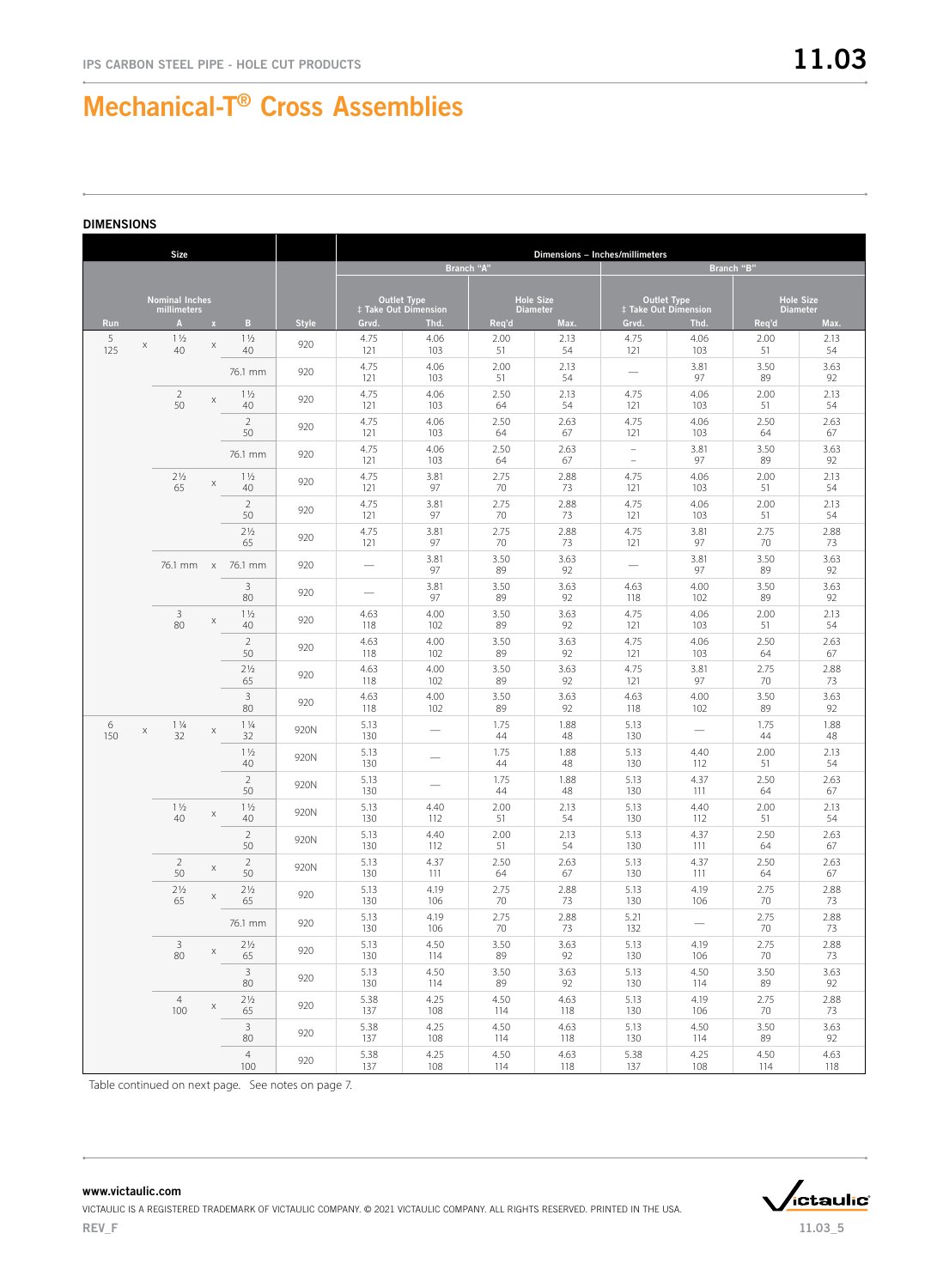#### DIMENSIONS

|          | <b>Size</b>                          |              |                       |              |                                            |                          |             | Dimensions - Inches/millimeters     |                                                   |                               |                 |                  |
|----------|--------------------------------------|--------------|-----------------------|--------------|--------------------------------------------|--------------------------|-------------|-------------------------------------|---------------------------------------------------|-------------------------------|-----------------|------------------|
|          |                                      |              |                       |              |                                            |                          | Branch "A"  |                                     | Branch "B"                                        |                               |                 |                  |
|          | <b>Nominal Inches</b><br>millimeters |              |                       |              | <b>Outlet Type</b><br>‡ Take Out Dimension |                          |             | <b>Hole Size</b><br><b>Diameter</b> | <b>Outlet Type</b><br><b>‡ Take Out Dimension</b> |                               | <b>Diameter</b> | <b>Hole Size</b> |
| Run      | $\mathbf{A}$                         | $\mathbf{x}$ | B                     | <b>Style</b> | Grvd.                                      | Thd.                     | Req'd       | Max.                                | Grvd.                                             | Thd.                          | Req'd           | Max.             |
| 5<br>125 | $1\frac{1}{2}$<br>X<br>40            | X            | $1\frac{1}{2}$<br>40  | 920          | 4.75<br>121                                | 4.06<br>103              | 2.00<br>51  | 2.13<br>54                          | 4.75<br>121                                       | 4.06<br>103                   | 2.00<br>51      | 2.13<br>54       |
|          |                                      |              | 76.1 mm               | 920          | 4.75<br>121                                | 4.06<br>103              | 2.00<br>51  | 2.13<br>54                          | $\overline{\phantom{0}}$                          | 3.81<br>97                    | 3.50<br>89      | 3.63<br>92       |
|          | $\overline{2}$<br>50                 | X            | $1\frac{1}{2}$<br>40  | 920          | 4.75<br>121                                | 4.06<br>103              | 2.50<br>64  | 2.13<br>54                          | 4.75<br>121                                       | 4.06<br>103                   | 2.00<br>51      | 2.13<br>54       |
|          |                                      |              | $\sqrt{2}$<br>50      | 920          | 4.75<br>121                                | 4.06<br>103              | 2.50<br>64  | 2.63<br>67                          | 4.75<br>121                                       | 4.06<br>103                   | 2.50<br>64      | 2.63<br>67       |
|          |                                      |              | 76.1 mm               | 920          | 4.75<br>121                                | 4.06<br>103              | 2.50<br>64  | 2.63<br>67                          | $\equiv$<br>$\overline{\phantom{a}}$              | 3.81<br>97                    | 3.50<br>89      | 3.63<br>92       |
|          | $2\frac{1}{2}$<br>65                 | X            | $1\frac{1}{2}$<br>40  | 920          | 4.75<br>121                                | 3.81<br>97               | 2.75<br>70  | 2.88<br>73                          | 4.75<br>121                                       | 4.06<br>103                   | 2.00<br>51      | 2.13<br>54       |
|          |                                      |              | $\sqrt{2}$<br>50      | 920          | 4.75<br>121                                | 3.81<br>97               | 2.75<br>70  | 2.88<br>73                          | 4.75<br>121                                       | 4.06<br>103                   | 2.00<br>51      | 2.13<br>54       |
|          |                                      |              | 2 <sub>2</sub><br>65  | 920          | 4.75<br>121                                | 3.81<br>97               | 2.75<br>70  | 2.88<br>73                          | 4.75<br>121                                       | 3.81<br>97                    | 2.75<br>70      | 2.88<br>73       |
|          | 76.1 mm x                            |              | 76.1 mm               | 920          | $\overline{\phantom{0}}$                   | 3.81<br>97               | 3.50<br>89  | 3.63<br>92                          | $\overline{\phantom{0}}$                          | 3.81<br>97                    | 3.50<br>89      | 3.63<br>92       |
|          |                                      |              | 3<br>80               | 920          | $\overline{\phantom{0}}$                   | 3.81<br>97               | 3.50<br>89  | 3.63<br>92                          | 4.63<br>118                                       | 4.00<br>102                   | 3.50<br>89      | 3.63<br>92       |
|          | 3<br>80                              | Χ            | $1\frac{1}{2}$<br>40  | 920          | 4.63<br>118                                | 4.00<br>102              | 3.50<br>89  | 3.63<br>92                          | 4.75<br>121                                       | 4.06<br>103                   | 2.00<br>51      | 2.13<br>54       |
|          |                                      |              | $\sqrt{2}$<br>50      | 920          | 4.63<br>118                                | 4.00<br>102              | 3.50<br>89  | 3.63<br>92                          | 4.75<br>121                                       | 4.06<br>103                   | 2.50<br>64      | 2.63<br>67       |
|          |                                      |              | 2 <sub>2</sub><br>65  | 920          | 4.63<br>118                                | 4.00<br>102              | 3.50<br>89  | 3.63<br>92                          | 4.75<br>121                                       | 3.81<br>97                    | 2.75<br>70      | 2.88<br>73       |
|          |                                      |              | 3<br>80               | 920          | 4.63<br>118                                | 4.00<br>102              | 3.50<br>89  | 3.63<br>92                          | 4.63<br>118                                       | 4.00<br>102                   | 3.50<br>89      | 3.63<br>92       |
| 6<br>150 | $1\frac{1}{4}$<br>Χ<br>32            | X            | $1\frac{1}{4}$<br>32  | 920N         | 5.13<br>130                                |                          | 1.75<br>44  | 1.88<br>48                          | 5.13<br>130                                       | $\overline{\phantom{0}}$      | 1.75<br>44      | 1.88<br>48       |
|          |                                      |              | $1\frac{1}{2}$<br>40  | 920N         | 5.13<br>130                                |                          | 1.75<br>44  | 1.88<br>48                          | 5.13<br>130                                       | 4.40<br>112                   | 2.00<br>51      | 2.13<br>54       |
|          |                                      |              | $\sqrt{2}$<br>50      | 920N         | 5.13<br>130                                | $\overline{\phantom{0}}$ | 1.75<br>44  | 1.88<br>48                          | 5.13<br>130                                       | 4.37<br>111                   | 2.50<br>64      | 2.63<br>67       |
|          | $1\frac{1}{2}$<br>40                 | X            | $1\frac{1}{2}$<br>40  | 920N         | 5.13<br>130                                | 4.40<br>112              | 2.00<br>51  | 2.13<br>54                          | 5.13<br>130                                       | 4.40<br>112                   | 2.00<br>51      | 2.13<br>54       |
|          |                                      |              | $\overline{2}$<br>50  | 920N         | 5.13<br>130                                | 4.40<br>112              | 2.00<br>51  | 2.13<br>54                          | 5.13<br>130                                       | 4.37<br>111                   | 2.50<br>64      | 2.63<br>67       |
|          | $\overline{2}$<br>50                 | X            | $\sqrt{2}$<br>50      | 920N         | 5.13<br>130                                | 4.37<br>111              | 2.50<br>64  | 2.63<br>67                          | 5.13<br>130                                       | 4.37<br>111                   | 2.50<br>64      | 2.63<br>67       |
|          | 2 <sub>2</sub><br>65                 | X            | 2 <sub>2</sub><br>65  | 920          | 5.13<br>130                                | 4.19<br>106              | 2.75<br>70  | 2.88<br>73                          | 5.13<br>130                                       | 4.19<br>106                   | 2.75<br>70      | 2.88<br>73       |
|          |                                      |              | 76.1 mm               | 920          | 5.13<br>130                                | 4.19<br>106              | 2.75<br>70  | 2.88<br>73                          | 5.21<br>132                                       | $\overbrace{\phantom{aaaaa}}$ | 2.75<br>70      | 2.88<br>73       |
|          | 3<br>80                              | $\mathsf X$  | $2\frac{1}{2}$<br>65  | 920          | 5.13<br>130                                | 4.50<br>114              | 3.50<br>89  | 3.63<br>92                          | 5.13<br>130                                       | 4.19<br>106                   | 2.75<br>70      | 2.88<br>73       |
|          |                                      |              | $\overline{3}$<br>80  | 920          | 5.13<br>130                                | 4.50<br>114              | 3.50<br>89  | 3.63<br>92                          | 5.13<br>130                                       | 4.50<br>114                   | 3.50<br>89      | 3.63<br>92       |
|          | $\overline{4}$<br>100                | X            | $2\frac{1}{2}$<br>65  | 920          | 5.38<br>137                                | 4.25<br>108              | 4.50<br>114 | 4.63<br>118                         | 5.13<br>130                                       | 4.19<br>106                   | 2.75<br>70      | 2.88<br>73       |
|          |                                      |              | $\mathbf{3}$<br>80    | 920          | 5.38<br>137                                | 4.25<br>108              | 4.50<br>114 | 4.63<br>118                         | 5.13<br>130                                       | 4.50<br>114                   | 3.50<br>89      | 3.63<br>92       |
|          |                                      |              | $\overline{4}$<br>100 | 920          | 5.38<br>137                                | 4.25<br>108              | 4.50<br>114 | 4.63<br>118                         | 5.38<br>137                                       | 4.25<br>108                   | 4.50<br>114     | 4.63<br>118      |

Table continued on next page. See notes on page 7.



### www.victaulic.com VICTAULIC IS A REGISTERED TRADEMARK OF VICTAULIC COMPANY. © 2021 VICTAULIC COMPANY. ALL RIGHTS RESERVED. PRINTED IN THE USA. REV\_F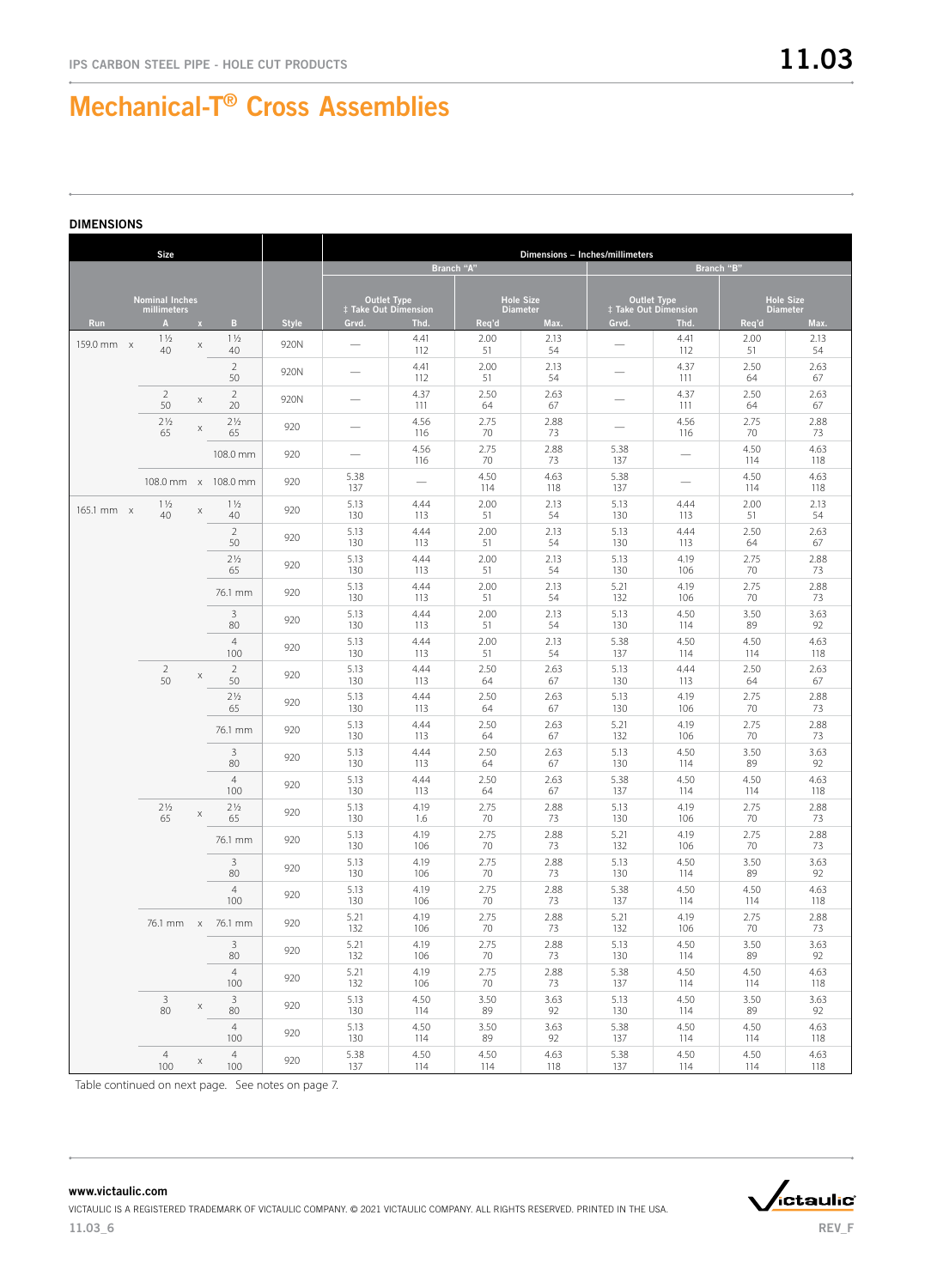|            | <b>Size</b>                          |              |                       |              |                                                   |             |                                     | Dimensions - Inches/millimeters |                                            |             |                                     |             |
|------------|--------------------------------------|--------------|-----------------------|--------------|---------------------------------------------------|-------------|-------------------------------------|---------------------------------|--------------------------------------------|-------------|-------------------------------------|-------------|
|            |                                      |              |                       |              |                                                   |             | Branch "A"                          |                                 |                                            | Branch "B"  |                                     |             |
|            |                                      |              |                       |              |                                                   |             |                                     |                                 |                                            |             |                                     |             |
|            | <b>Nominal Inches</b><br>millimeters |              |                       |              | <b>Outlet Type</b><br><b>‡ Take Out Dimension</b> |             | <b>Hole Size</b><br><b>Diameter</b> |                                 | <b>Outlet Type</b><br>‡ Take Out Dimension |             | <b>Hole Size</b><br><b>Diameter</b> |             |
| <b>Run</b> | $\mathbf{A}$                         | $\mathbf{x}$ | В.                    | <b>Style</b> | Grvd.                                             | Thd.        | Req'd                               | Max.                            | Grvd.                                      | Thd.        | Req'd                               | Max.        |
| 159.0 mm x | $1\frac{1}{2}$<br>40                 | $\mathsf X$  | $1\frac{1}{2}$<br>40  | 920N         |                                                   | 4.41<br>112 | 2.00<br>51                          | 2.13<br>54                      |                                            | 4.41<br>112 | 2.00<br>51                          | 2.13<br>54  |
|            |                                      |              | $\overline{2}$<br>50  | 920N         |                                                   | 4.41<br>112 | 2.00<br>51                          | 2.13<br>54                      |                                            | 4.37<br>111 | 2.50<br>64                          | 2.63<br>67  |
|            | $\overline{2}$<br>50                 | X            | $\overline{2}$<br>20  | 920N         |                                                   | 4.37<br>111 | 2.50<br>64                          | 2.63<br>67                      |                                            | 4.37<br>111 | 2.50<br>64                          | 2.63<br>67  |
|            | 2 <sub>2</sub><br>65                 | $\mathsf X$  | 2 <sub>2</sub><br>65  | 920          |                                                   | 4.56<br>116 | 2.75<br>70                          | 2.88<br>73                      |                                            | 4.56<br>116 | 2.75<br>70                          | 2.88<br>73  |
|            |                                      |              | 108.0 mm              | 920          |                                                   | 4.56<br>116 | 2.75<br>70                          | 2.88<br>73                      | 5.38<br>137                                |             | 4.50<br>114                         | 4.63<br>118 |
|            |                                      |              | 108.0 mm x 108.0 mm   | 920          | 5.38<br>137                                       |             | 4.50<br>114                         | 4.63<br>118                     | 5.38<br>137                                |             | 4.50<br>114                         | 4.63<br>118 |
| 165.1 mm x | $1\frac{1}{2}$<br>40                 | $\mathsf X$  | $1\frac{1}{2}$<br>40  | 920          | 5.13<br>130                                       | 4.44<br>113 | 2.00<br>51                          | 2.13<br>54                      | 5.13<br>130                                | 4.44<br>113 | 2.00<br>51                          | 2.13<br>54  |
|            |                                      |              | $\overline{2}$<br>50  | 920          | 5.13<br>130                                       | 4.44<br>113 | 2.00<br>51                          | 2.13<br>54                      | 5.13<br>130                                | 4.44<br>113 | 2.50<br>64                          | 2.63<br>67  |
|            |                                      |              | $2\frac{1}{2}$<br>65  | 920          | 5.13<br>130                                       | 4.44<br>113 | 2.00<br>51                          | 2.13<br>54                      | 5.13<br>130                                | 4.19<br>106 | 2.75<br>70                          | 2.88<br>73  |
|            |                                      |              | 76.1 mm               | 920          | 5.13<br>130                                       | 4.44<br>113 | 2.00<br>51                          | 2.13<br>54                      | 5.21<br>132                                | 4.19<br>106 | 2.75<br>70                          | 2.88<br>73  |
|            |                                      |              | 3<br>80               | 920          | 5.13<br>130                                       | 4.44<br>113 | 2.00<br>51                          | 2.13<br>54                      | 5.13<br>130                                | 4.50<br>114 | 3.50<br>89                          | 3.63<br>92  |
|            |                                      |              | $\overline{4}$<br>100 | 920          | 5.13<br>130                                       | 4.44<br>113 | 2.00<br>51                          | 2.13<br>54                      | 5.38<br>137                                | 4.50<br>114 | 4.50<br>114                         | 4.63<br>118 |
|            | $\overline{2}$<br>50                 | $\mathsf X$  | $\overline{2}$<br>50  | 920          | 5.13<br>130                                       | 4.44<br>113 | 2.50<br>64                          | 2.63<br>67                      | 5.13<br>130                                | 4.44<br>113 | 2.50<br>64                          | 2.63<br>67  |
|            |                                      |              | 2 <sub>2</sub><br>65  | 920          | 5.13<br>130                                       | 4.44<br>113 | 2.50<br>64                          | 2.63<br>67                      | 5.13<br>130                                | 4.19<br>106 | 2.75<br>70                          | 2.88<br>73  |
|            |                                      |              | 76.1 mm               | 920          | 5.13<br>130                                       | 4.44<br>113 | 2.50<br>64                          | 2.63<br>67                      | 5.21<br>132                                | 4.19<br>106 | 2.75<br>70                          | 2.88<br>73  |
|            |                                      |              | 3<br>80               | 920          | 5.13<br>130                                       | 4.44<br>113 | 2.50<br>64                          | 2.63<br>67                      | 5.13<br>130                                | 4.50<br>114 | 3.50<br>89                          | 3.63<br>92  |
|            |                                      |              | $\overline{4}$<br>100 | 920          | 5.13<br>130                                       | 4.44<br>113 | 2.50<br>64                          | 2.63<br>67                      | 5.38<br>137                                | 4.50<br>114 | 4.50<br>114                         | 4.63<br>118 |
|            | $2\frac{1}{2}$<br>65                 | $\mathsf X$  | $2\frac{1}{2}$<br>65  | 920          | 5.13<br>130                                       | 4.19<br>1.6 | 2.75<br>70                          | 2.88<br>73                      | 5.13<br>130                                | 4.19<br>106 | 2.75<br>70                          | 2.88<br>73  |
|            |                                      |              | 76.1 mm               | 920          | 5.13<br>130                                       | 4.19<br>106 | 2.75<br>70                          | 2.88<br>73                      | 5.21<br>132                                | 4.19<br>106 | 2.75<br>70                          | 2.88<br>73  |
|            |                                      |              | 3<br>80               | 920          | 5.13<br>130                                       | 4.19<br>106 | 2.75<br>70                          | 2.88<br>73                      | 5.13<br>130                                | 4.50<br>114 | 3.50<br>89                          | 3.63<br>92  |
|            |                                      |              | $\overline{4}$<br>100 | 920          | 5.13<br>130                                       | 4.19<br>106 | 2.75<br>70                          | 2.88<br>73                      | 5.38<br>137                                | 4.50<br>114 | 4.50<br>114                         | 4.63<br>118 |
|            |                                      |              | 76.1 mm x 76.1 mm     | 920          | 5.21<br>132                                       | 4.19<br>106 | 2.75<br>70                          | 2.88<br>73                      | 5.21<br>132                                | 4.19<br>106 | 2.75<br>70                          | 2.88<br>73  |
|            |                                      |              | $\overline{3}$<br>80  | 920          | 5.21<br>132                                       | 4.19<br>106 | 2.75<br>70                          | 2.88<br>73                      | 5.13<br>130                                | 4.50<br>114 | 3.50<br>89                          | 3.63<br>92  |
|            |                                      |              | $\overline{4}$<br>100 | 920          | 5.21<br>132                                       | 4.19<br>106 | 2.75<br>70                          | 2.88<br>73                      | 5.38<br>137                                | 4.50<br>114 | 4.50<br>114                         | 4.63<br>118 |
|            | $\overline{3}$<br>80                 | $\mathsf X$  | 3<br>80               | 920          | 5.13<br>130                                       | 4.50<br>114 | 3.50<br>89                          | 3.63<br>92                      | 5.13<br>130                                | 4.50<br>114 | 3.50<br>89                          | 3.63<br>92  |
|            |                                      |              | $\overline{4}$<br>100 | 920          | 5.13<br>130                                       | 4.50<br>114 | 3.50<br>89                          | 3.63<br>92                      | 5.38<br>137                                | 4.50<br>114 | 4.50<br>114                         | 4.63<br>118 |
|            | $\overline{4}$<br>100                | $\mathsf X$  | $\overline{4}$<br>100 | 920          | 5.38<br>137                                       | 4.50<br>114 | 4.50<br>114                         | 4.63<br>118                     | 5.38<br>137                                | 4.50<br>114 | 4.50<br>114                         | 4.63<br>118 |

Table continued on next page. See notes on page 7.

REV\_F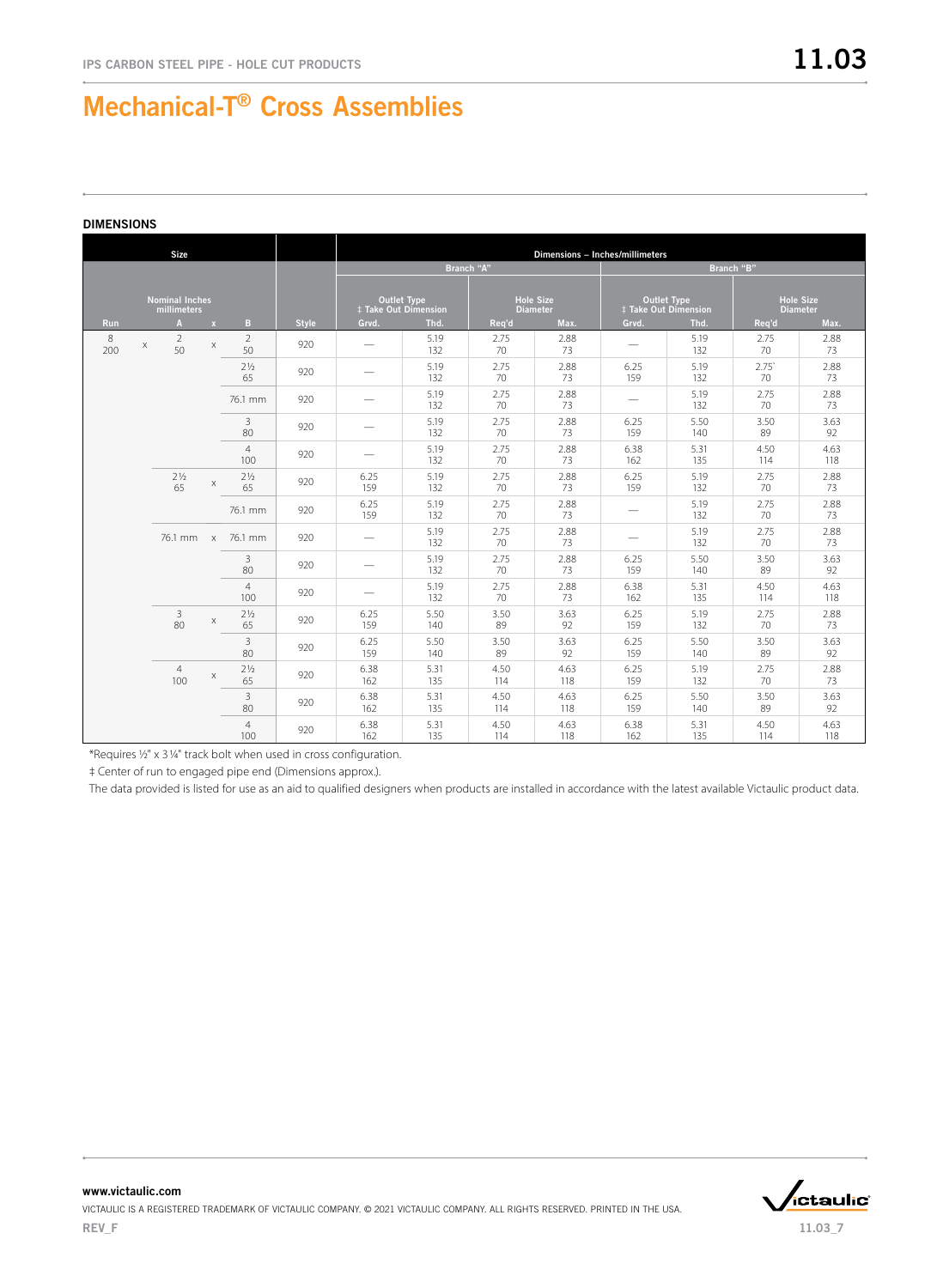| <b>Size</b> |                                      |              |                       |              |                          | Dimensions - Inches/millimeters                   |             |                                     |                                            |             |                                     |             |  |  |
|-------------|--------------------------------------|--------------|-----------------------|--------------|--------------------------|---------------------------------------------------|-------------|-------------------------------------|--------------------------------------------|-------------|-------------------------------------|-------------|--|--|
|             |                                      |              |                       |              |                          |                                                   | Branch "A"  |                                     | Branch "B"                                 |             |                                     |             |  |  |
|             | <b>Nominal Inches</b><br>millimeters |              |                       |              |                          | <b>Outlet Type</b><br><b>‡ Take Out Dimension</b> |             | <b>Hole Size</b><br><b>Diameter</b> | <b>Outlet Type</b><br>‡ Take Out Dimension |             | <b>Hole Size</b><br><b>Diameter</b> |             |  |  |
| <b>Run</b>  | $\mathbf{A}$                         | $\mathbf{x}$ | B                     | <b>Style</b> | Grvd.                    | Thd.                                              | Req'd       | Max.                                | Grvd.                                      | Thd.        | Req'd                               | Max.        |  |  |
| 8<br>200    | 2<br>X<br>50                         | X            | $\overline{2}$<br>50  | 920          |                          | 5.19<br>132                                       | 2.75<br>70  | 2.88<br>73                          |                                            | 5.19<br>132 | 2.75<br>70                          | 2.88<br>73  |  |  |
|             |                                      |              | $2\frac{1}{2}$<br>65  | 920          |                          | 5.19<br>132                                       | 2.75<br>70  | 2.88<br>73                          | 6.25<br>159                                | 5.19<br>132 | 2.75<br>70                          | 2.88<br>73  |  |  |
|             |                                      |              | 76.1 mm               | 920          |                          | 5.19<br>132                                       | 2.75<br>70  | 2.88<br>73                          | $\hspace{0.1mm}-\hspace{0.1mm}$            | 5.19<br>132 | 2.75<br>70                          | 2.88<br>73  |  |  |
|             |                                      |              | 3<br>80               | 920          |                          | 5.19<br>132                                       | 2.75<br>70  | 2.88<br>73                          | 6.25<br>159                                | 5.50<br>140 | 3.50<br>89                          | 3.63<br>92  |  |  |
|             |                                      |              | $\overline{4}$<br>100 | 920          |                          | 5.19<br>132                                       | 2.75<br>70  | 2.88<br>73                          | 6.38<br>162                                | 5.31<br>135 | 4.50<br>114                         | 4.63<br>118 |  |  |
|             | 2 <sup>1</sup> / <sub>2</sub><br>65  | X            | $2\frac{1}{2}$<br>65  | 920          | 6.25<br>159              | 5.19<br>132                                       | 2.75<br>70  | 2.88<br>73                          | 6.25<br>159                                | 5.19<br>132 | 2.75<br>70                          | 2.88<br>73  |  |  |
|             |                                      |              | 76.1 mm               | 920          | 6.25<br>159              | 5.19<br>132                                       | 2.75<br>70  | 2.88<br>73                          |                                            | 5.19<br>132 | 2.75<br>70                          | 2.88<br>73  |  |  |
|             | 76.1 mm x                            |              | 76.1 mm               | 920          |                          | 5.19<br>132                                       | 2.75<br>70  | 2.88<br>73                          |                                            | 5.19<br>132 | 2.75<br>70                          | 2.88<br>73  |  |  |
|             |                                      |              | 3<br>80               | 920          |                          | 5.19<br>132                                       | 2.75<br>70  | 2.88<br>73                          | 6.25<br>159                                | 5.50<br>140 | 3.50<br>89                          | 3.63<br>92  |  |  |
|             |                                      |              | $\overline{4}$<br>100 | 920          | $\overline{\phantom{0}}$ | 5.19<br>132                                       | 2.75<br>70  | 2.88<br>73                          | 6.38<br>162                                | 5.31<br>135 | 4.50<br>114                         | 4.63<br>118 |  |  |
|             | $\overline{3}$<br>80                 | $\mathsf X$  | $2\frac{1}{2}$<br>65  | 920          | 6.25<br>159              | 5.50<br>140                                       | 3.50<br>89  | 3.63<br>92                          | 6.25<br>159                                | 5.19<br>132 | 2.75<br>70                          | 2.88<br>73  |  |  |
|             |                                      |              | 3<br>80               | 920          | 6.25<br>159              | 5.50<br>140                                       | 3.50<br>89  | 3.63<br>92                          | 6.25<br>159                                | 5.50<br>140 | 3.50<br>89                          | 3.63<br>92  |  |  |
|             | $\overline{4}$<br>100                | X            | $2\frac{1}{2}$<br>65  | 920          | 6.38<br>162              | 5.31<br>135                                       | 4.50<br>114 | 4.63<br>118                         | 6.25<br>159                                | 5.19<br>132 | 2.75<br>70                          | 2.88<br>73  |  |  |
|             |                                      |              | 3<br>80               | 920          | 6.38<br>162              | 5.31<br>135                                       | 4.50<br>114 | 4.63<br>118                         | 6.25<br>159                                | 5.50<br>140 | 3.50<br>89                          | 3.63<br>92  |  |  |
|             |                                      |              | $\overline{4}$<br>100 | 920          | 6.38<br>162              | 5.31<br>135                                       | 4.50<br>114 | 4.63<br>118                         | 6.38<br>162                                | 5.31<br>135 | 4.50<br>114                         | 4.63<br>118 |  |  |

\*Requires 1/2" x 31/4" track bolt when used in cross configuration.

‡ Center of run to engaged pipe end (Dimensions approx.).

The data provided is listed for use as an aid to qualified designers when products are installed in accordance with the latest available Victaulic product data.